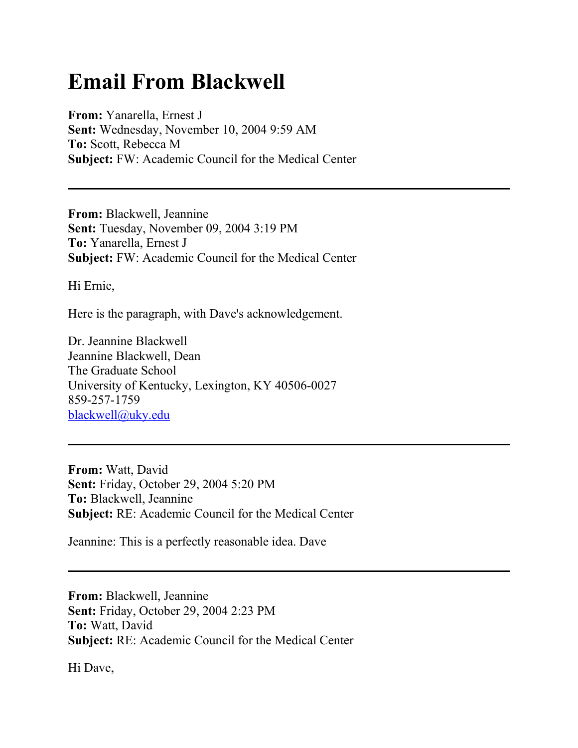## **Email From Blackwell**

**From:** Yanarella, Ernest J **Sent:** Wednesday, November 10, 2004 9:59 AM **To:** Scott, Rebecca M **Subject:** FW: Academic Council for the Medical Center

**From:** Blackwell, Jeannine **Sent:** Tuesday, November 09, 2004 3:19 PM **To:** Yanarella, Ernest J **Subject:** FW: Academic Council for the Medical Center

Hi Ernie,

Here is the paragraph, with Dave's acknowledgement.

Dr. Jeannine Blackwell Jeannine Blackwell, Dean The Graduate School University of Kentucky, Lexington, KY 40506-0027 859-257-1759 [blackwell@uky.edu](mailto:blackwell@uky.edu)

**From:** Watt, David **Sent:** Friday, October 29, 2004 5:20 PM **To:** Blackwell, Jeannine **Subject:** RE: Academic Council for the Medical Center

Jeannine: This is a perfectly reasonable idea. Dave

**From:** Blackwell, Jeannine **Sent:** Friday, October 29, 2004 2:23 PM **To:** Watt, David **Subject:** RE: Academic Council for the Medical Center

Hi Dave,